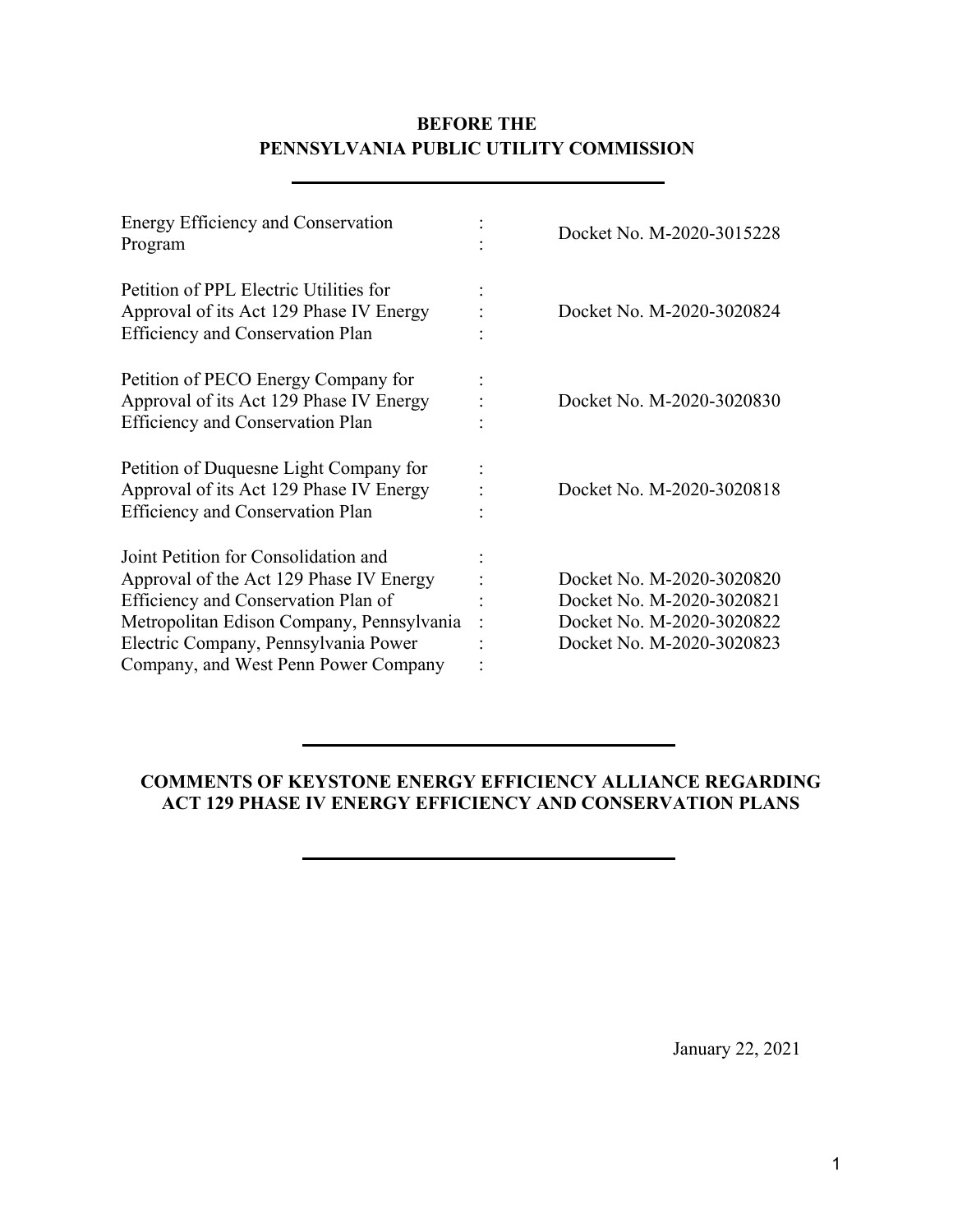### **BEFORE THE PENNSYLVANIA PUBLIC UTILITY COMMISSION**

| Energy Efficiency and Conservation<br>Program                                                                                                                                                                                                       | Docket No. M-2020-3015228                                                                                        |
|-----------------------------------------------------------------------------------------------------------------------------------------------------------------------------------------------------------------------------------------------------|------------------------------------------------------------------------------------------------------------------|
| Petition of PPL Electric Utilities for<br>Approval of its Act 129 Phase IV Energy<br><b>Efficiency and Conservation Plan</b>                                                                                                                        | Docket No. M-2020-3020824                                                                                        |
| Petition of PECO Energy Company for<br>Approval of its Act 129 Phase IV Energy<br><b>Efficiency and Conservation Plan</b>                                                                                                                           | Docket No. M-2020-3020830                                                                                        |
| Petition of Duquesne Light Company for<br>Approval of its Act 129 Phase IV Energy<br><b>Efficiency and Conservation Plan</b>                                                                                                                        | Docket No. M-2020-3020818                                                                                        |
| Joint Petition for Consolidation and<br>Approval of the Act 129 Phase IV Energy<br>Efficiency and Conservation Plan of<br>Metropolitan Edison Company, Pennsylvania<br>Electric Company, Pennsylvania Power<br>Company, and West Penn Power Company | Docket No. M-2020-3020820<br>Docket No. M-2020-3020821<br>Docket No. M-2020-3020822<br>Docket No. M-2020-3020823 |

#### **COMMENTS OF KEYSTONE ENERGY EFFICIENCY ALLIANCE REGARDING ACT 129 PHASE IV ENERGY EFFICIENCY AND CONSERVATION PLANS**

January 22, 2021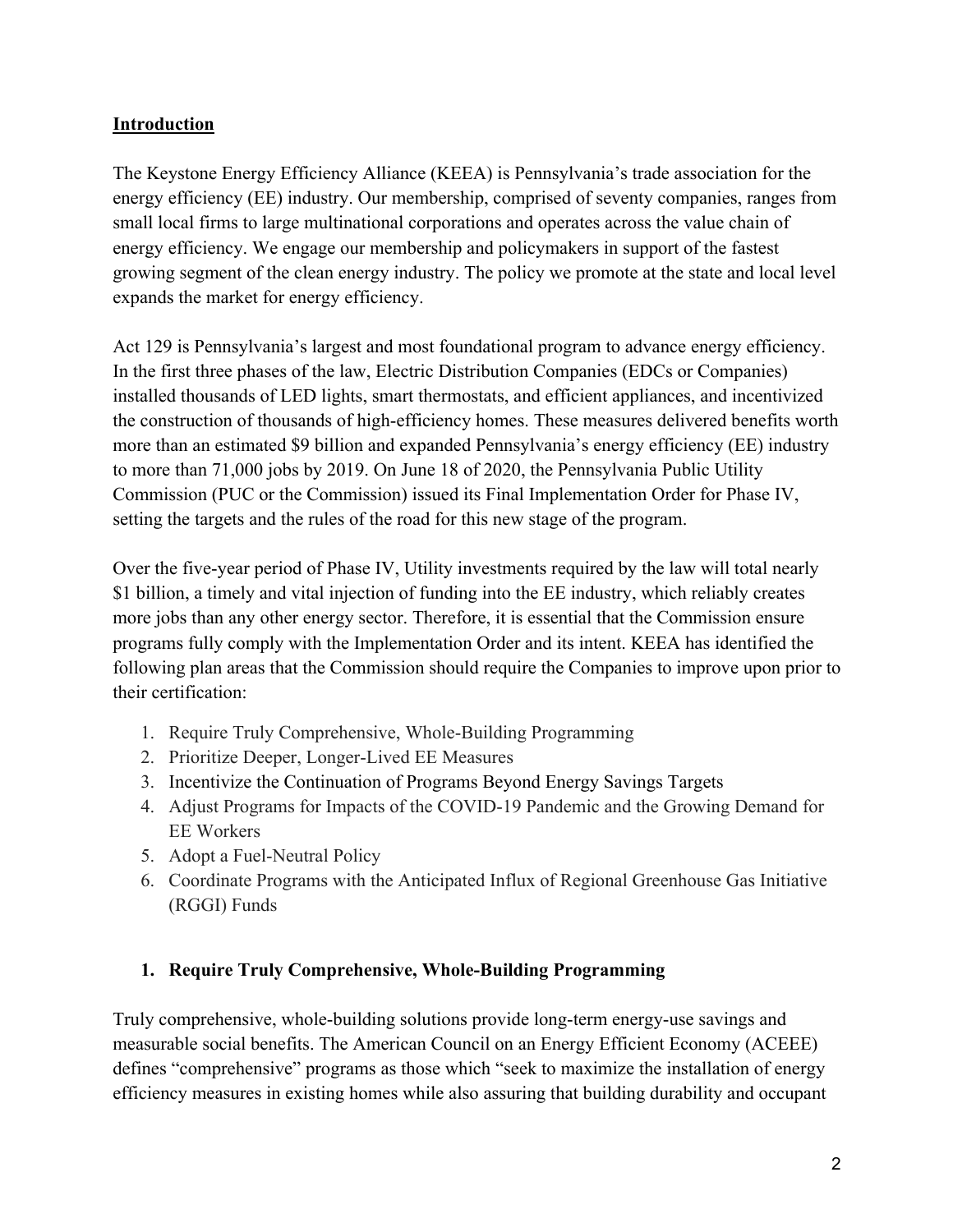# **Introduction**

The Keystone Energy Efficiency Alliance (KEEA) is Pennsylvania's trade association for the energy efficiency (EE) industry. Our membership, comprised of seventy companies, ranges from small local firms to large multinational corporations and operates across the value chain of energy efficiency. We engage our membership and policymakers in support of the fastest growing segment of the clean energy industry. The policy we promote at the state and local level expands the market for energy efficiency.

Act 129 is Pennsylvania's largest and most foundational program to advance energy efficiency. In the first three phases of the law, Electric Distribution Companies (EDCs or Companies) installed thousands of LED lights, smart thermostats, and efficient appliances, and incentivized the construction of thousands of high-efficiency homes. These measures delivered benefits worth more than an estimated \$9 billion and expanded Pennsylvania's energy efficiency (EE) industry to more than 71,000 jobs by 2019. On June 18 of 2020, the Pennsylvania Public Utility Commission (PUC or the Commission) issued its Final Implementation Order for Phase IV, setting the targets and the rules of the road for this new stage of the program.

Over the five-year period of Phase IV, Utility investments required by the law will total nearly \$1 billion, a timely and vital injection of funding into the EE industry, which reliably creates more jobs than any other energy sector. Therefore, it is essential that the Commission ensure programs fully comply with the Implementation Order and its intent. KEEA has identified the following plan areas that the Commission should require the Companies to improve upon prior to their certification:

- 1. Require Truly Comprehensive, Whole-Building Programming
- 2. Prioritize Deeper, Longer-Lived EE Measures
- 3. Incentivize the Continuation of Programs Beyond Energy Savings Targets
- 4. Adjust Programs for Impacts of the COVID-19 Pandemic and the Growing Demand for EE Workers
- 5. Adopt a Fuel-Neutral Policy
- 6. Coordinate Programs with the Anticipated Influx of Regional Greenhouse Gas Initiative (RGGI) Funds

#### **1. Require Truly Comprehensive, Whole-Building Programming**

Truly comprehensive, whole-building solutions provide long-term energy-use savings and measurable social benefits. The American Council on an Energy Efficient Economy (ACEEE) defines "comprehensive" programs as those which "seek to maximize the installation of energy efficiency measures in existing homes while also assuring that building durability and occupant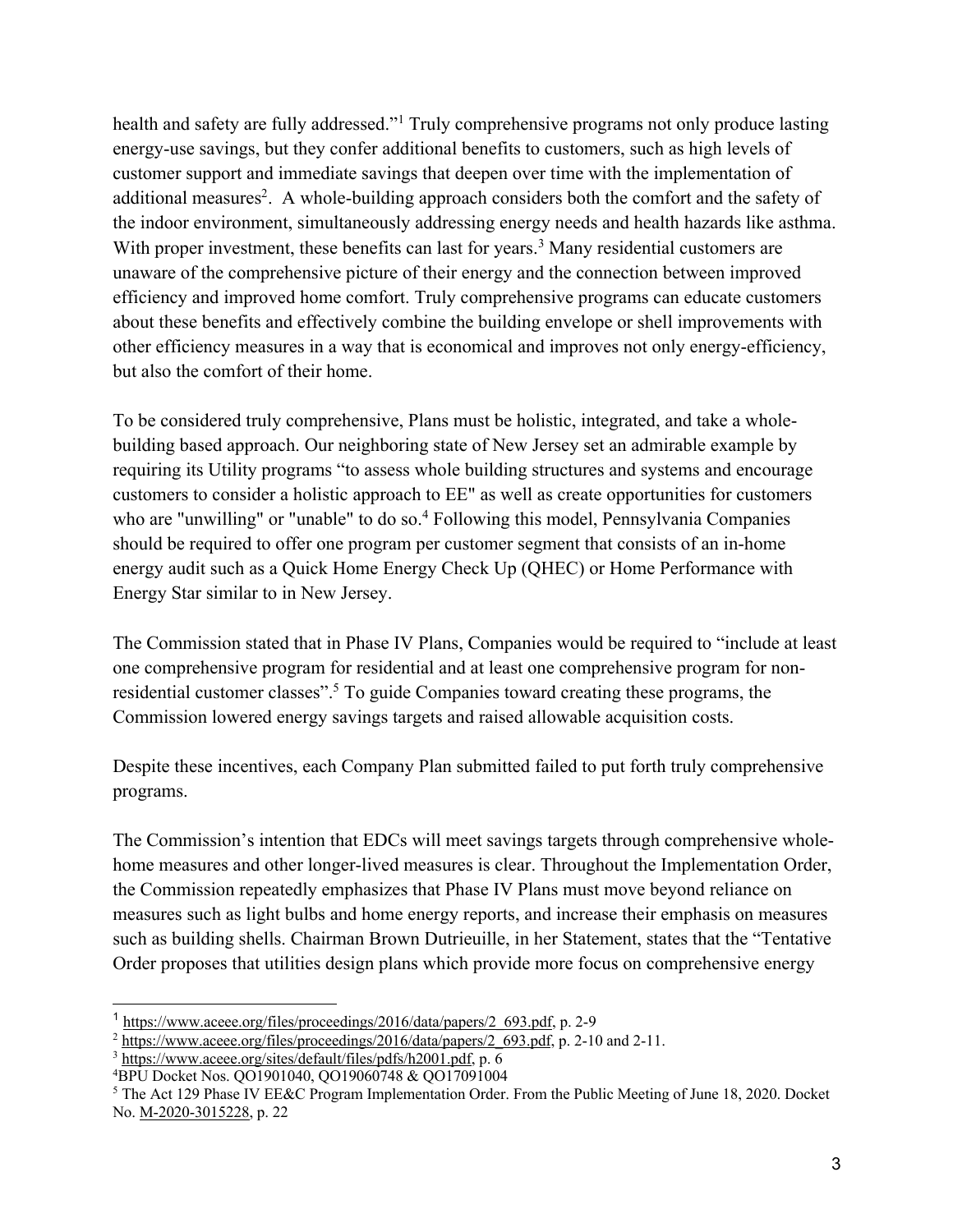health and safety are fully addressed."<sup>1</sup> Truly comprehensive programs not only produce lasting energy-use savings, but they confer additional benefits to customers, such as high levels of customer support and immediate savings that deepen over time with the implementation of additional measures<sup>2</sup>. A whole-building approach considers both the comfort and the safety of the indoor environment, simultaneously addressing energy needs and health hazards like asthma. With proper investment, these benefits can last for years.<sup>3</sup> Many residential customers are unaware of the comprehensive picture of their energy and the connection between improved efficiency and improved home comfort. Truly comprehensive programs can educate customers about these benefits and effectively combine the building envelope or shell improvements with other efficiency measures in a way that is economical and improves not only energy-efficiency, but also the comfort of their home.

To be considered truly comprehensive, Plans must be holistic, integrated, and take a wholebuilding based approach. Our neighboring state of New Jersey set an admirable example by requiring its Utility programs "to assess whole building structures and systems and encourage customers to consider a holistic approach to EE" as well as create opportunities for customers who are "unwilling" or "unable" to do so.<sup>4</sup> Following this model, Pennsylvania Companies should be required to offer one program per customer segment that consists of an in-home energy audit such as a Quick Home Energy Check Up (QHEC) or Home Performance with Energy Star similar to in New Jersey.

The Commission stated that in Phase IV Plans, Companies would be required to "include at least one comprehensive program for residential and at least one comprehensive program for nonresidential customer classes".5 To guide Companies toward creating these programs, the Commission lowered energy savings targets and raised allowable acquisition costs.

Despite these incentives, each Company Plan submitted failed to put forth truly comprehensive programs.

The Commission's intention that EDCs will meet savings targets through comprehensive wholehome measures and other longer-lived measures is clear. Throughout the Implementation Order, the Commission repeatedly emphasizes that Phase IV Plans must move beyond reliance on measures such as light bulbs and home energy reports, and increase their emphasis on measures such as building shells. Chairman Brown Dutrieuille, in her Statement, states that the "Tentative Order proposes that utilities design plans which provide more focus on comprehensive energy

<sup>&</sup>lt;sup>1</sup> https://www.aceee.org/files/proceedings/2016/data/papers/2 693.pdf, p. 2-9

 $\frac{2 \text{ https://www.aceee.org/files/proceedings/2016/data/papers/2_693.pdf}}{3 \text{ https://www.aceee.org/sites/default/files/pdfs/h2001.pdf}, p. \overline{6}}$ . 2-10 and 2-11.

<sup>4</sup> BPU Docket Nos. QO1901040, QO19060748 & QO17091004

<sup>&</sup>lt;sup>5</sup> The Act 129 Phase IV EE&C Program Implementation Order. From the Public Meeting of June 18, 2020. Docket No. M-2020-3015228, p. 22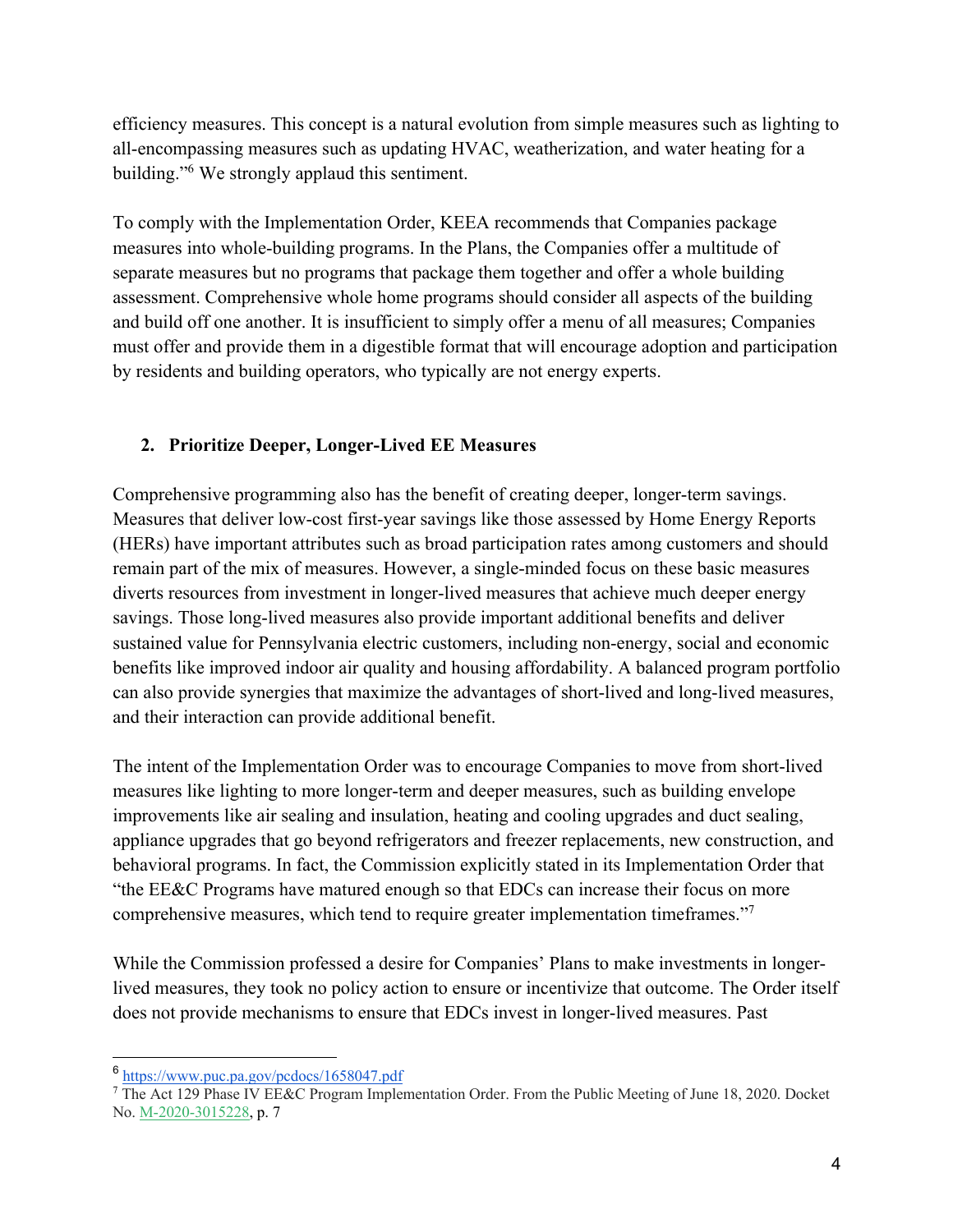efficiency measures. This concept is a natural evolution from simple measures such as lighting to all-encompassing measures such as updating HVAC, weatherization, and water heating for a building."6 We strongly applaud this sentiment.

To comply with the Implementation Order, KEEA recommends that Companies package measures into whole-building programs. In the Plans, the Companies offer a multitude of separate measures but no programs that package them together and offer a whole building assessment. Comprehensive whole home programs should consider all aspects of the building and build off one another. It is insufficient to simply offer a menu of all measures; Companies must offer and provide them in a digestible format that will encourage adoption and participation by residents and building operators, who typically are not energy experts.

# **2. Prioritize Deeper, Longer-Lived EE Measures**

Comprehensive programming also has the benefit of creating deeper, longer-term savings. Measures that deliver low-cost first-year savings like those assessed by Home Energy Reports (HERs) have important attributes such as broad participation rates among customers and should remain part of the mix of measures. However, a single-minded focus on these basic measures diverts resources from investment in longer-lived measures that achieve much deeper energy savings. Those long-lived measures also provide important additional benefits and deliver sustained value for Pennsylvania electric customers, including non-energy, social and economic benefits like improved indoor air quality and housing affordability. A balanced program portfolio can also provide synergies that maximize the advantages of short-lived and long-lived measures, and their interaction can provide additional benefit.

The intent of the Implementation Order was to encourage Companies to move from short-lived measures like lighting to more longer-term and deeper measures, such as building envelope improvements like air sealing and insulation, heating and cooling upgrades and duct sealing, appliance upgrades that go beyond refrigerators and freezer replacements, new construction, and behavioral programs. In fact, the Commission explicitly stated in its Implementation Order that "the EE&C Programs have matured enough so that EDCs can increase their focus on more comprehensive measures, which tend to require greater implementation timeframes."7

While the Commission professed a desire for Companies' Plans to make investments in longerlived measures, they took no policy action to ensure or incentivize that outcome. The Order itself does not provide mechanisms to ensure that EDCs invest in longer-lived measures. Past

<sup>6</sup> https://www.puc.pa.gov/pcdocs/1658047.pdf

<sup>7</sup> The Act 129 Phase IV EE&C Program Implementation Order. From the Public Meeting of June 18, 2020. Docket No. M-2020-3015228, p. 7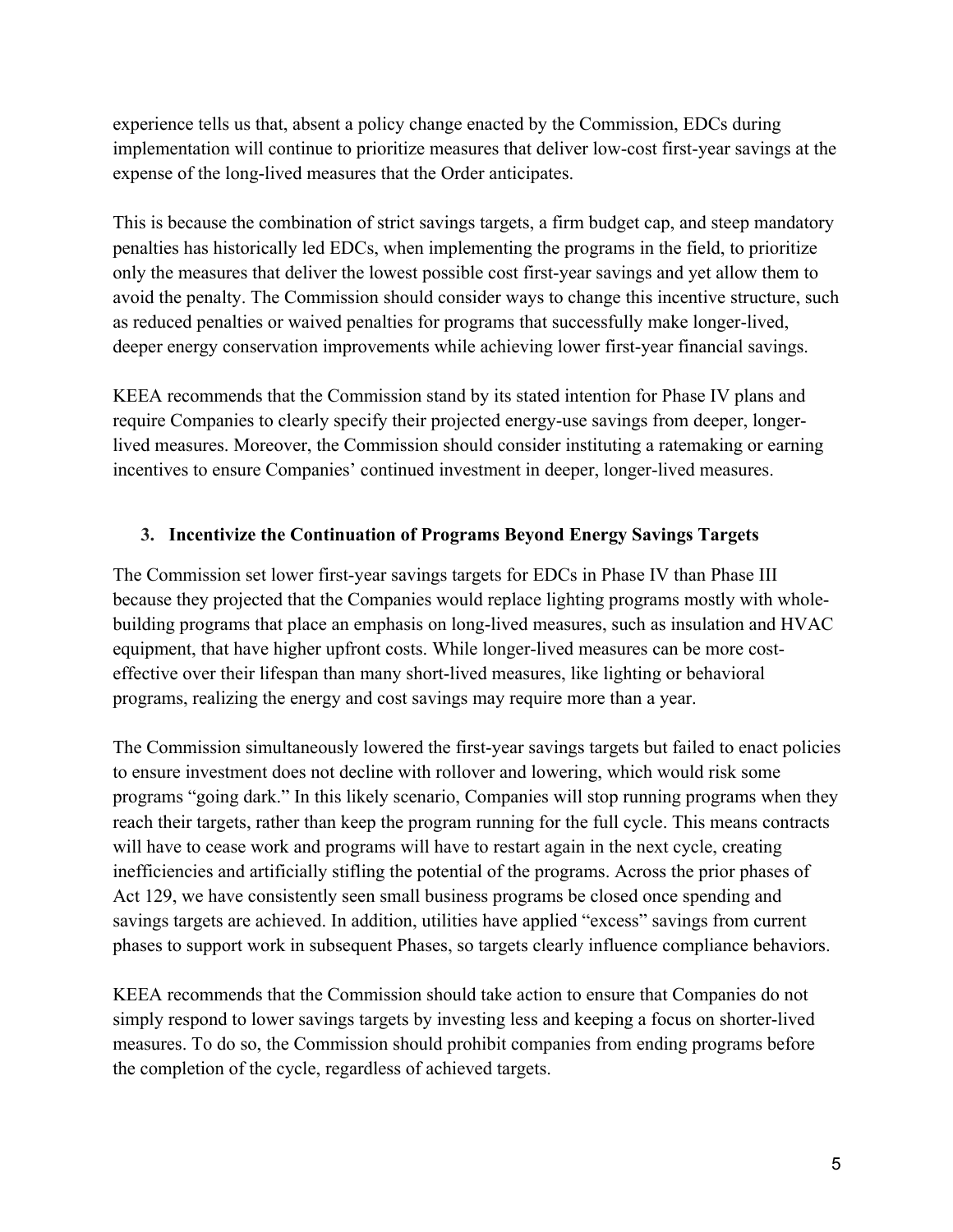experience tells us that, absent a policy change enacted by the Commission, EDCs during implementation will continue to prioritize measures that deliver low-cost first-year savings at the expense of the long-lived measures that the Order anticipates.

This is because the combination of strict savings targets, a firm budget cap, and steep mandatory penalties has historically led EDCs, when implementing the programs in the field, to prioritize only the measures that deliver the lowest possible cost first-year savings and yet allow them to avoid the penalty. The Commission should consider ways to change this incentive structure, such as reduced penalties or waived penalties for programs that successfully make longer-lived, deeper energy conservation improvements while achieving lower first-year financial savings.

KEEA recommends that the Commission stand by its stated intention for Phase IV plans and require Companies to clearly specify their projected energy-use savings from deeper, longerlived measures. Moreover, the Commission should consider instituting a ratemaking or earning incentives to ensure Companies' continued investment in deeper, longer-lived measures.

#### **3. Incentivize the Continuation of Programs Beyond Energy Savings Targets**

The Commission set lower first-year savings targets for EDCs in Phase IV than Phase III because they projected that the Companies would replace lighting programs mostly with wholebuilding programs that place an emphasis on long-lived measures, such as insulation and HVAC equipment, that have higher upfront costs. While longer-lived measures can be more costeffective over their lifespan than many short-lived measures, like lighting or behavioral programs, realizing the energy and cost savings may require more than a year.

The Commission simultaneously lowered the first-year savings targets but failed to enact policies to ensure investment does not decline with rollover and lowering, which would risk some programs "going dark." In this likely scenario, Companies will stop running programs when they reach their targets, rather than keep the program running for the full cycle. This means contracts will have to cease work and programs will have to restart again in the next cycle, creating inefficiencies and artificially stifling the potential of the programs. Across the prior phases of Act 129, we have consistently seen small business programs be closed once spending and savings targets are achieved. In addition, utilities have applied "excess" savings from current phases to support work in subsequent Phases, so targets clearly influence compliance behaviors.

KEEA recommends that the Commission should take action to ensure that Companies do not simply respond to lower savings targets by investing less and keeping a focus on shorter-lived measures. To do so, the Commission should prohibit companies from ending programs before the completion of the cycle, regardless of achieved targets.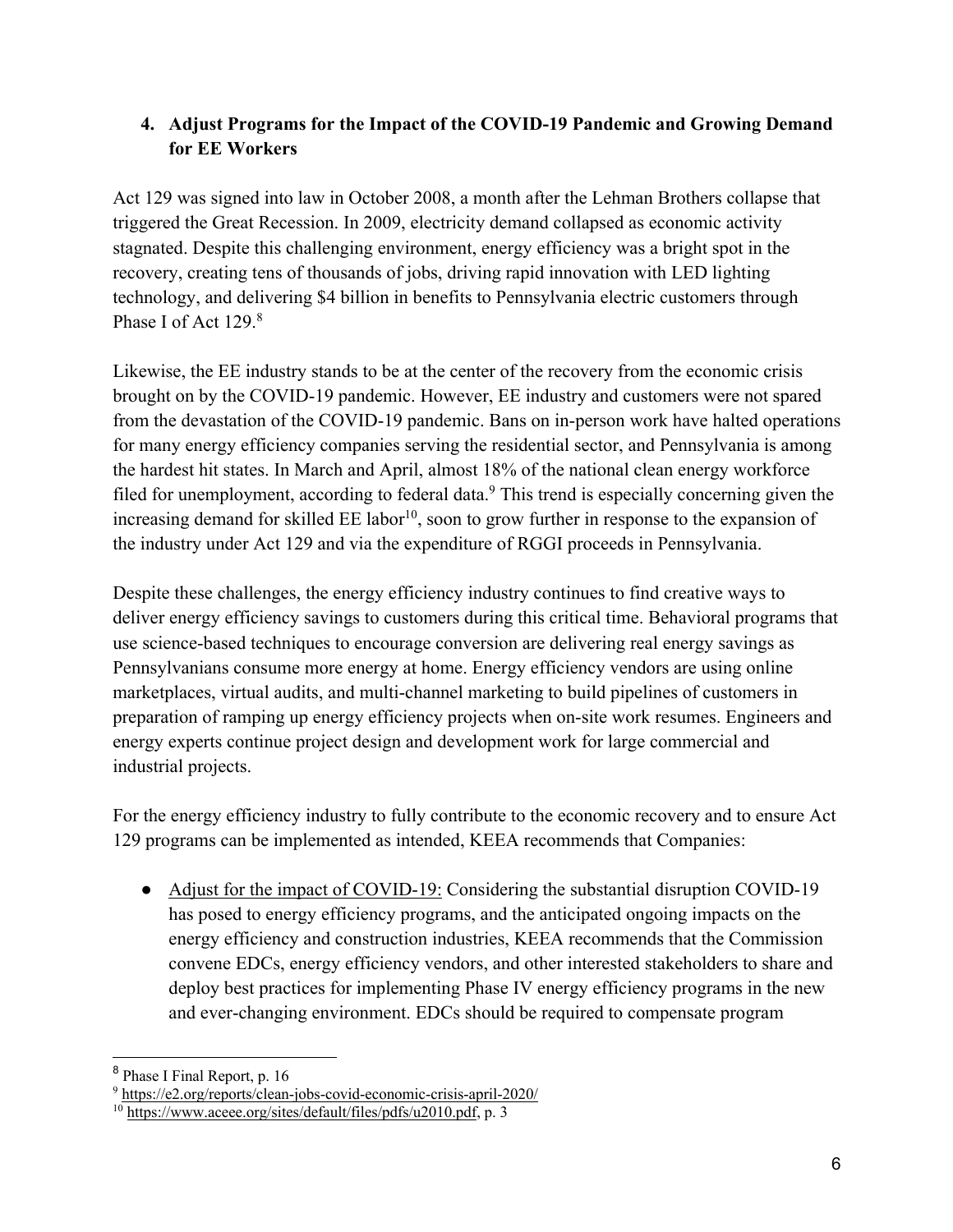# **4. Adjust Programs for the Impact of the COVID-19 Pandemic and Growing Demand for EE Workers**

Act 129 was signed into law in October 2008, a month after the Lehman Brothers collapse that triggered the Great Recession. In 2009, electricity demand collapsed as economic activity stagnated. Despite this challenging environment, energy efficiency was a bright spot in the recovery, creating tens of thousands of jobs, driving rapid innovation with LED lighting technology, and delivering \$4 billion in benefits to Pennsylvania electric customers through Phase I of Act 129.<sup>8</sup>

Likewise, the EE industry stands to be at the center of the recovery from the economic crisis brought on by the COVID-19 pandemic. However, EE industry and customers were not spared from the devastation of the COVID-19 pandemic. Bans on in-person work have halted operations for many energy efficiency companies serving the residential sector, and Pennsylvania is among the hardest hit states. In March and April, almost 18% of the national clean energy workforce filed for unemployment, according to federal data.<sup>9</sup> This trend is especially concerning given the increasing demand for skilled  $EE$  labor<sup>10</sup>, soon to grow further in response to the expansion of the industry under Act 129 and via the expenditure of RGGI proceeds in Pennsylvania.

Despite these challenges, the energy efficiency industry continues to find creative ways to deliver energy efficiency savings to customers during this critical time. Behavioral programs that use science-based techniques to encourage conversion are delivering real energy savings as Pennsylvanians consume more energy at home. Energy efficiency vendors are using online marketplaces, virtual audits, and multi-channel marketing to build pipelines of customers in preparation of ramping up energy efficiency projects when on-site work resumes. Engineers and energy experts continue project design and development work for large commercial and industrial projects.

For the energy efficiency industry to fully contribute to the economic recovery and to ensure Act 129 programs can be implemented as intended, KEEA recommends that Companies:

• Adjust for the impact of COVID-19: Considering the substantial disruption COVID-19 has posed to energy efficiency programs, and the anticipated ongoing impacts on the energy efficiency and construction industries, KEEA recommends that the Commission convene EDCs, energy efficiency vendors, and other interested stakeholders to share and deploy best practices for implementing Phase IV energy efficiency programs in the new and ever-changing environment. EDCs should be required to compensate program

<sup>8</sup> Phase I Final Report, p. 16

<sup>9</sup> https://e2.org/reports/clean-jobs-covid-economic-crisis-april-2020/

<sup>10</sup> https://www.aceee.org/sites/default/files/pdfs/u2010.pdf, p. 3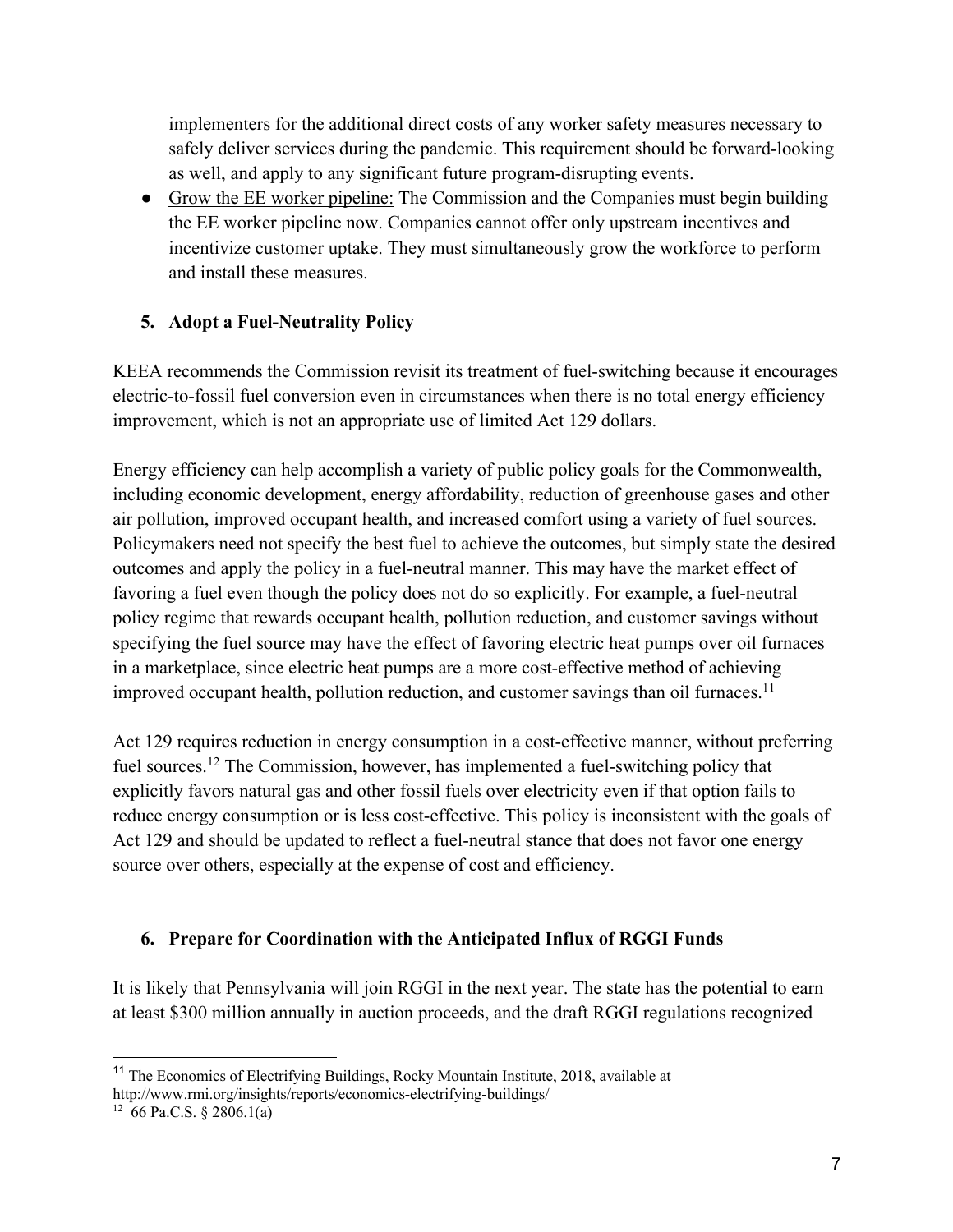implementers for the additional direct costs of any worker safety measures necessary to safely deliver services during the pandemic. This requirement should be forward-looking as well, and apply to any significant future program-disrupting events.

● Grow the EE worker pipeline: The Commission and the Companies must begin building the EE worker pipeline now. Companies cannot offer only upstream incentives and incentivize customer uptake. They must simultaneously grow the workforce to perform and install these measures.

# **5. Adopt a Fuel-Neutrality Policy**

KEEA recommends the Commission revisit its treatment of fuel-switching because it encourages electric-to-fossil fuel conversion even in circumstances when there is no total energy efficiency improvement, which is not an appropriate use of limited Act 129 dollars.

Energy efficiency can help accomplish a variety of public policy goals for the Commonwealth, including economic development, energy affordability, reduction of greenhouse gases and other air pollution, improved occupant health, and increased comfort using a variety of fuel sources. Policymakers need not specify the best fuel to achieve the outcomes, but simply state the desired outcomes and apply the policy in a fuel-neutral manner. This may have the market effect of favoring a fuel even though the policy does not do so explicitly. For example, a fuel-neutral policy regime that rewards occupant health, pollution reduction, and customer savings without specifying the fuel source may have the effect of favoring electric heat pumps over oil furnaces in a marketplace, since electric heat pumps are a more cost-effective method of achieving improved occupant health, pollution reduction, and customer savings than oil furnaces.<sup>11</sup>

Act 129 requires reduction in energy consumption in a cost-effective manner, without preferring fuel sources.12 The Commission, however, has implemented a fuel-switching policy that explicitly favors natural gas and other fossil fuels over electricity even if that option fails to reduce energy consumption or is less cost-effective. This policy is inconsistent with the goals of Act 129 and should be updated to reflect a fuel-neutral stance that does not favor one energy source over others, especially at the expense of cost and efficiency.

### **6. Prepare for Coordination with the Anticipated Influx of RGGI Funds**

It is likely that Pennsylvania will join RGGI in the next year. The state has the potential to earn at least \$300 million annually in auction proceeds, and the draft RGGI regulations recognized

<sup>&</sup>lt;sup>11</sup> The Economics of Electrifying Buildings, Rocky Mountain Institute, 2018, available at http://www.rmi.org/insights/reports/economics-electrifying-buildings/

 $12\,66$  Pa.C.S. § 2806.1(a)